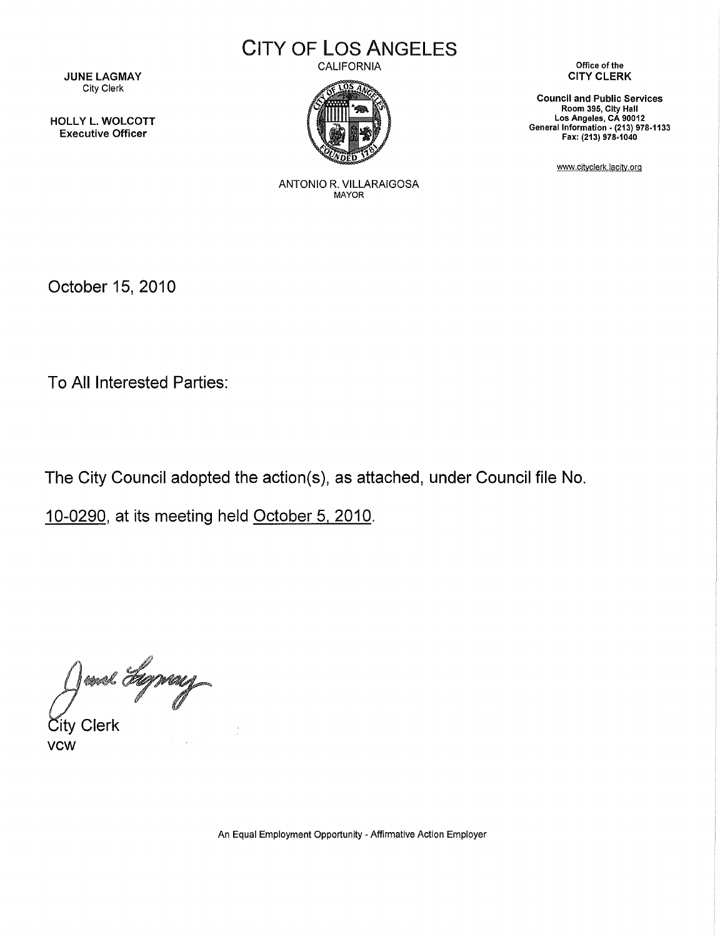JUNE LAGMAY City Clerk

HOLLY L. WOLCOTT Executive Officer

CITY OF LOS ANGELES

CALIFORNIA



Office of the CITY CLERK

Council and Public Services Room 395, City Hall Los Angeles, CA 90012 General Information • (213) 978-1133 Fax: (213) 978-1040

www.cityclerk.lacity.org

ANTONIO R. VILLARAIGOSA MAYOR

October 15, 2010

To All Interested Parties:

The City Council adopted the action(s), as attached, under Council file No.

10-0290, at its meeting held October 5, 2010.

Jenel Eleprey

vcw  $\tilde{\mathsf{S}}$ ity Clerk

An Equal Employment Opportunity - Affirmative Action Employer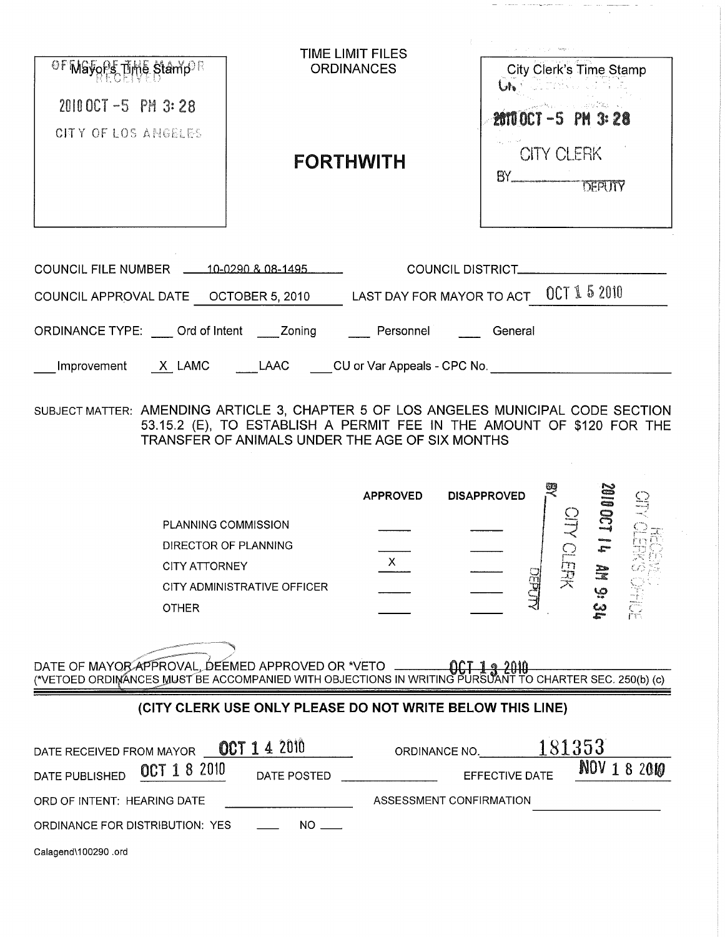| OF MGyoPs Time Stamp                                | TIME LIMIT FILES<br><b>ORDINANCES</b>                             | father is a<br>City Clerk's Time Stamp<br>LA TIMARA             |
|-----------------------------------------------------|-------------------------------------------------------------------|-----------------------------------------------------------------|
| $20100CT - 5$ PM 3:28<br>CITY OF LOS ANGELES        | <b>FORTHWITH</b>                                                  | Uh.<br>2010 OCT -5 PM 3:28<br><b>CITY CLERK</b><br>BY<br>DEPUTY |
| <b>COUNCIL FILE NUMBER</b><br>COUNCIL APPROVAL DATE | 10-0290 & 08-1495<br>LAST DAY FOR MAYOR TO ACT<br>OCTOBER 5, 2010 | <b>COUNCIL DISTRICT.</b><br>OCT 15 2010                         |

ORDINANCE TYPE: \_\_\_\_ Ord of Intent \_\_\_\_ Zoning \_\_\_\_\_\_ Personnel \_\_\_\_\_\_ General

\_Improvement \_\_\_X\_LAMC \_\_\_\_\_\_LAAC \_\_\_\_CU or Var Appeals - CPC No. \_\_\_\_\_\_\_\_\_\_\_\_\_\_

SUBJECT MATTER: AMENDING ARTICLE 3, CHAPTER 5 OF LOS ANGELES MUNICIPAL CODE SECTION 53.15.2 (E), TO ESTABLISH A PERMIT FEE IN THE AMOUNT OF \$120 FOR THE TRANSFER OF ANIMALS UNDER THE AGE OF SIX MONTHS

|                             | <b>APPROVED</b> | <b>DISAPPROVED</b> |                | Z<br>tunas<br>C <sup>ina</sup> ing<br>Cinaia |                                         |
|-----------------------------|-----------------|--------------------|----------------|----------------------------------------------|-----------------------------------------|
| PLANNING COMMISSION         |                 |                    | <b>Shakers</b> |                                              |                                         |
| DIRECTOR OF PLANNING        |                 |                    | ----           | c                                            |                                         |
| <b>CITY ATTORNEY</b>        |                 |                    |                |                                              |                                         |
| CITY ADMINISTRATIVE OFFICER |                 |                    | 习              | ھا                                           |                                         |
| <b>OTHER</b>                |                 |                    |                |                                              | distances in<br>d <sup>ea</sup> rtists. |

DATE OF MAYOR APPROVAL, DEEMED APPROVED OR \*VETO \_\_\_\_\_ 

# (CITY CLERK USE ONLY PLEASE DO NOT WRITE BELOW THIS LINE}

| DATE RECEIVED FROM MAYOR        | <b>OCT 1 4 2010</b> | ORDINANCE NO.           | 181353       |
|---------------------------------|---------------------|-------------------------|--------------|
| OCT 1 8 2010<br>DATE PUBLISHED  | DATE POSTED         | EFFECTIVE DATE          | NOV 1 8 2010 |
| ORD OF INTENT: HEARING DATE     |                     | ASSESSMENT CONFIRMATION |              |
| ORDINANCE FOR DISTRIBUTION: YES | NO                  |                         |              |
| Calagend\100290.ord             |                     |                         |              |